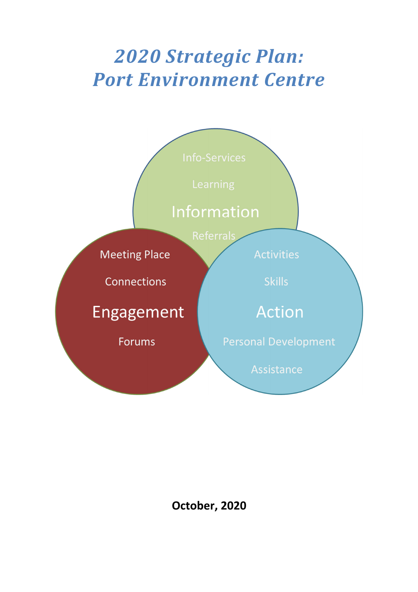# *2020 Strategic Plan: Port Environment Centre*



**October, 2020**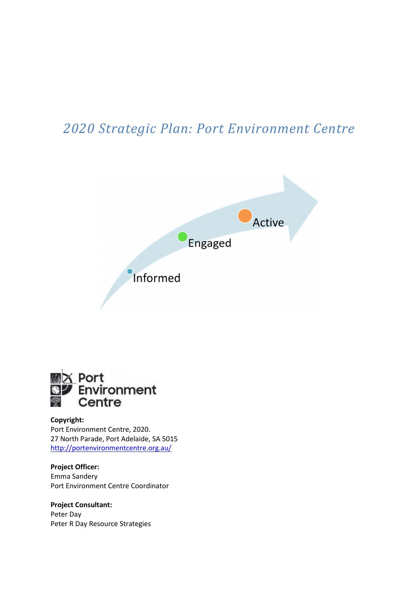## *2020 Strategic Plan: Port Environment Centre*





#### **Copyright:**

Port Environment Centre, 2020. 27 North Parade, Port Adelaide, SA 5015 http://portenvironmentcentre.org.au/

**Project Officer:**  Emma Sandery Port Environment Centre Coordinator

**Project Consultant:**  Peter Day Peter R Day Resource Strategies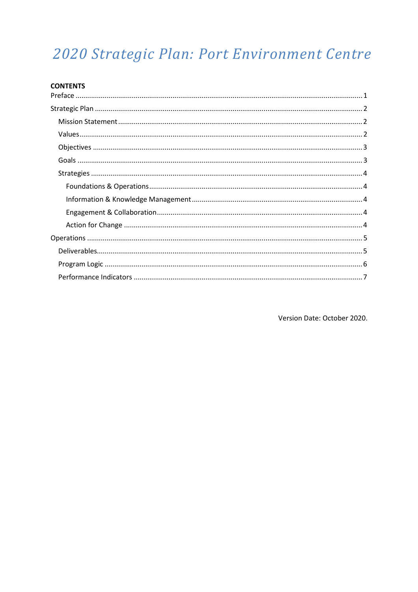## 2020 Strategic Plan: Port Environment Centre

Version Date: October 2020.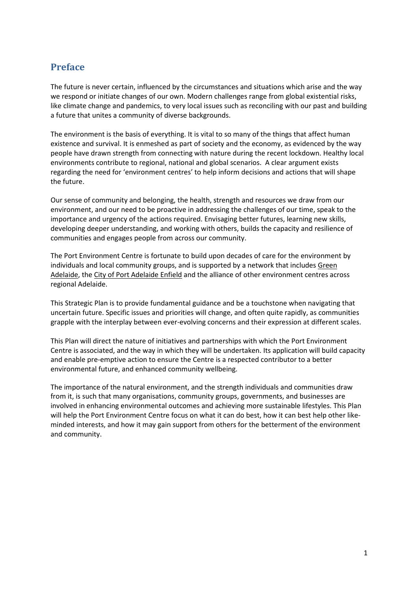## **Preface**

The future is never certain, influenced by the circumstances and situations which arise and the way we respond or initiate changes of our own. Modern challenges range from global existential risks, like climate change and pandemics, to very local issues such as reconciling with our past and building a future that unites a community of diverse backgrounds.

The environment is the basis of everything. It is vital to so many of the things that affect human existence and survival. It is enmeshed as part of society and the economy, as evidenced by the way people have drawn strength from connecting with nature during the recent lockdown. Healthy local environments contribute to regional, national and global scenarios. A clear argument exists regarding the need for 'environment centres' to help inform decisions and actions that will shape the future.

Our sense of community and belonging, the health, strength and resources we draw from our environment, and our need to be proactive in addressing the challenges of our time, speak to the importance and urgency of the actions required. Envisaging better futures, learning new skills, developing deeper understanding, and working with others, builds the capacity and resilience of communities and engages people from across our community.

The Port Environment Centre is fortunate to build upon decades of care for the environment by individuals and local community groups, and is supported by a network that includes Green Adelaide, the City of Port Adelaide Enfield and the alliance of other environment centres across regional Adelaide.

This Strategic Plan is to provide fundamental guidance and be a touchstone when navigating that uncertain future. Specific issues and priorities will change, and often quite rapidly, as communities grapple with the interplay between ever-evolving concerns and their expression at different scales.

This Plan will direct the nature of initiatives and partnerships with which the Port Environment Centre is associated, and the way in which they will be undertaken. Its application will build capacity and enable pre-emptive action to ensure the Centre is a respected contributor to a better environmental future, and enhanced community wellbeing.

The importance of the natural environment, and the strength individuals and communities draw from it, is such that many organisations, community groups, governments, and businesses are involved in enhancing environmental outcomes and achieving more sustainable lifestyles. This Plan will help the Port Environment Centre focus on what it can do best, how it can best help other likeminded interests, and how it may gain support from others for the betterment of the environment and community.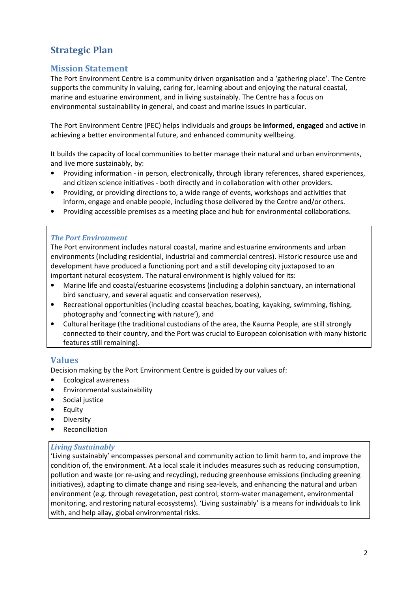## **Strategic Plan**

### **Mission Statement**

The Port Environment Centre is a community driven organisation and a 'gathering place'. The Centre supports the community in valuing, caring for, learning about and enjoying the natural coastal, marine and estuarine environment, and in living sustainably. The Centre has a focus on environmental sustainability in general, and coast and marine issues in particular.

The Port Environment Centre (PEC) helps individuals and groups be **informed, engaged** and **active** in achieving a better environmental future, and enhanced community wellbeing.

It builds the capacity of local communities to better manage their natural and urban environments, and live more sustainably, by:

- Providing information in person, electronically, through library references, shared experiences, and citizen science initiatives - both directly and in collaboration with other providers.
- Providing, or providing directions to, a wide range of events, workshops and activities that inform, engage and enable people, including those delivered by the Centre and/or others.
- Providing accessible premises as a meeting place and hub for environmental collaborations.

#### *The Port Environment*

The Port environment includes natural coastal, marine and estuarine environments and urban environments (including residential, industrial and commercial centres). Historic resource use and development have produced a functioning port and a still developing city juxtaposed to an important natural ecosystem. The natural environment is highly valued for its:

- Marine life and coastal/estuarine ecosystems (including a dolphin sanctuary, an international bird sanctuary, and several aquatic and conservation reserves),
- Recreational opportunities (including coastal beaches, boating, kayaking, swimming, fishing, photography and 'connecting with nature'), and
- Cultural heritage (the traditional custodians of the area, the Kaurna People, are still strongly connected to their country, and the Port was crucial to European colonisation with many historic features still remaining).

#### **Values**

Decision making by the Port Environment Centre is guided by our values of:

- Ecological awareness
- Environmental sustainability
- Social justice
- **Equity**
- **Diversity**
- Reconciliation

#### *Living Sustainably*

'Living sustainably' encompasses personal and community action to limit harm to, and improve the condition of, the environment. At a local scale it includes measures such as reducing consumption, pollution and waste (or re-using and recycling), reducing greenhouse emissions (including greening initiatives), adapting to climate change and rising sea-levels, and enhancing the natural and urban environment (e.g. through revegetation, pest control, storm-water management, environmental monitoring, and restoring natural ecosystems). 'Living sustainably' is a means for individuals to link with, and help allay, global environmental risks.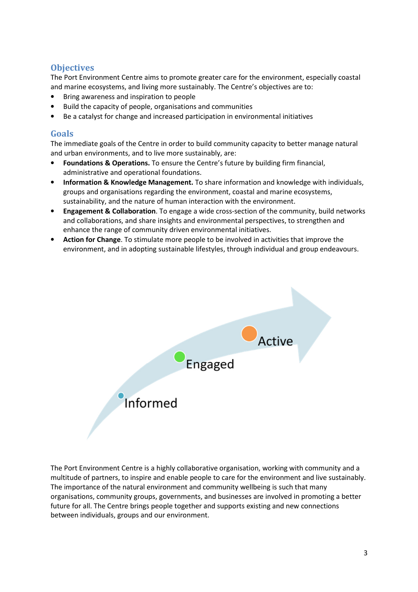## **Objectives**

The Port Environment Centre aims to promote greater care for the environment, especially coastal and marine ecosystems, and living more sustainably. The Centre's objectives are to:

- Bring awareness and inspiration to people
- Build the capacity of people, organisations and communities
- Be a catalyst for change and increased participation in environmental initiatives

## **Goals**

The immediate goals of the Centre in order to build community capacity to better manage natural and urban environments, and to live more sustainably, are:

- **Foundations & Operations.** To ensure the Centre's future by building firm financial, administrative and operational foundations.
- **Information & Knowledge Management.** To share information and knowledge with individuals, groups and organisations regarding the environment, coastal and marine ecosystems, sustainability, and the nature of human interaction with the environment.
- **Engagement & Collaboration**. To engage a wide cross-section of the community, build networks and collaborations, and share insights and environmental perspectives, to strengthen and enhance the range of community driven environmental initiatives.
- **Action for Change**. To stimulate more people to be involved in activities that improve the environment, and in adopting sustainable lifestyles, through individual and group endeavours.



The Port Environment Centre is a highly collaborative organisation, working with community and a multitude of partners, to inspire and enable people to care for the environment and live sustainably. The importance of the natural environment and community wellbeing is such that many organisations, community groups, governments, and businesses are involved in promoting a better future for all. The Centre brings people together and supports existing and new connections between individuals, groups and our environment.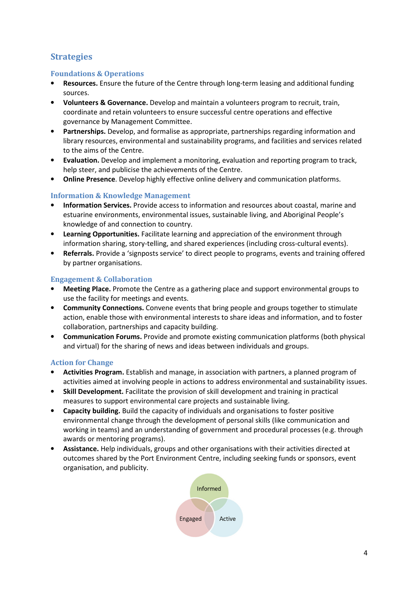## **Strategies**

#### **Foundations & Operations**

- **Resources.** Ensure the future of the Centre through long-term leasing and additional funding sources.
- **Volunteers & Governance.** Develop and maintain a volunteers program to recruit, train, coordinate and retain volunteers to ensure successful centre operations and effective governance by Management Committee.
- **Partnerships.** Develop, and formalise as appropriate, partnerships regarding information and library resources, environmental and sustainability programs, and facilities and services related to the aims of the Centre.
- **Evaluation.** Develop and implement a monitoring, evaluation and reporting program to track, help steer, and publicise the achievements of the Centre.
- **Online Presence**. Develop highly effective online delivery and communication platforms.

#### **Information & Knowledge Management**

- **Information Services.** Provide access to information and resources about coastal, marine and estuarine environments, environmental issues, sustainable living, and Aboriginal People's knowledge of and connection to country.
- **Learning Opportunities.** Facilitate learning and appreciation of the environment through information sharing, story-telling, and shared experiences (including cross-cultural events).
- **Referrals.** Provide a 'signposts service' to direct people to programs, events and training offered by partner organisations.

#### **Engagement & Collaboration**

- **Meeting Place.** Promote the Centre as a gathering place and support environmental groups to use the facility for meetings and events.
- **Community Connections.** Convene events that bring people and groups together to stimulate action, enable those with environmental interests to share ideas and information, and to foster collaboration, partnerships and capacity building.
- **Communication Forums.** Provide and promote existing communication platforms (both physical and virtual) for the sharing of news and ideas between individuals and groups.

#### **Action for Change**

- **Activities Program.** Establish and manage, in association with partners, a planned program of activities aimed at involving people in actions to address environmental and sustainability issues.
- **Skill Development.** Facilitate the provision of skill development and training in practical measures to support environmental care projects and sustainable living.
- **Capacity building.** Build the capacity of individuals and organisations to foster positive environmental change through the development of personal skills (like communication and working in teams) and an understanding of government and procedural processes (e.g. through awards or mentoring programs).
- **Assistance.** Help individuals, groups and other organisations with their activities directed at outcomes shared by the Port Environment Centre, including seeking funds or sponsors, event organisation, and publicity.

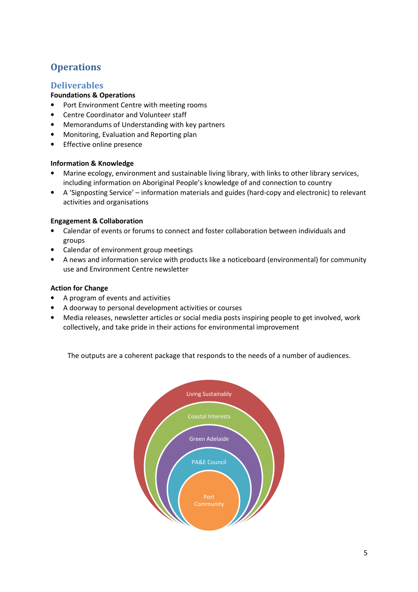## **Operations**

#### **Deliverables**

#### **Foundations & Operations**

- Port Environment Centre with meeting rooms
- Centre Coordinator and Volunteer staff
- Memorandums of Understanding with key partners
- Monitoring, Evaluation and Reporting plan
- Effective online presence

#### **Information & Knowledge**

- Marine ecology, environment and sustainable living library, with links to other library services, including information on Aboriginal People's knowledge of and connection to country
- A 'Signposting Service' information materials and guides (hard-copy and electronic) to relevant activities and organisations

#### **Engagement & Collaboration**

- Calendar of events or forums to connect and foster collaboration between individuals and groups
- Calendar of environment group meetings
- A news and information service with products like a noticeboard (environmental) for community use and Environment Centre newsletter

#### **Action for Change**

- A program of events and activities
- A doorway to personal development activities or courses
- Media releases, newsletter articles or social media posts inspiring people to get involved, work collectively, and take pride in their actions for environmental improvement

The outputs are a coherent package that responds to the needs of a number of audiences.

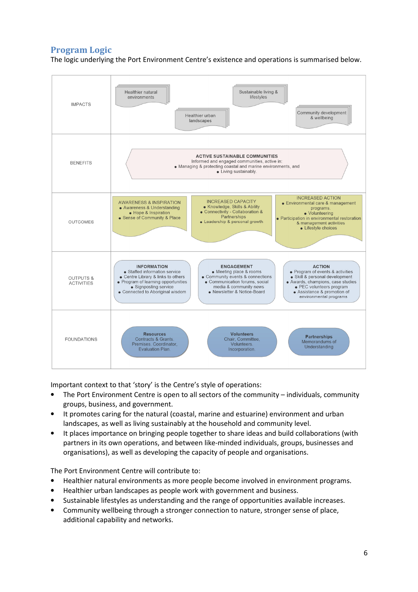## **Program Logic**

The logic underlying the Port Environment Centre's existence and operations is summarised below.

| <b>IMPACTS</b>                            | Healthier natural<br>Sustainable living &<br>lifestyles<br>environments<br>Community development<br>Healthier urban<br>& wellbeing<br>landscapes                                                                                                                                                                                                                                                                                                                                                                                                                                              |
|-------------------------------------------|-----------------------------------------------------------------------------------------------------------------------------------------------------------------------------------------------------------------------------------------------------------------------------------------------------------------------------------------------------------------------------------------------------------------------------------------------------------------------------------------------------------------------------------------------------------------------------------------------|
| <b>BENEFITS</b>                           | <b>ACTIVE SUSTAINABLE COMMUNITIES</b><br>Informed and engaged communities, active in:<br>• Managing & protecting coastal and marine environments, and<br>• Living sustainably.                                                                                                                                                                                                                                                                                                                                                                                                                |
| <b>OUTCOMES</b>                           | <b>INCREASED ACTION</b><br><b>INCREASED CAPACITY</b><br><b>AWARENESS &amp; INSPIRATION</b><br>• Environmental care & management<br>• Knowledge, Skills & Ability<br>• Awareness & Understanding<br>programs.<br>• Connectivity - Collaboration &<br>• Hope & Inspiration<br>• Volunteering<br>Partnerships<br>• Sense of Community & Place<br>• Participation in environmental restoration<br>• Leadership & personal growth<br>& management activities<br>• Lifestyle choices                                                                                                                |
| <b>OUTPUTS &amp;</b><br><b>ACTIVITIES</b> | <b>ACTION</b><br><b>INFORMATION</b><br><b>ENGAGEMENT</b><br>• Program of events & activities<br>• Staffed information service<br>• Meeting place & rooms<br>• Centre Library & links to others<br>• Community events & connections<br>· Skill & personal development<br>• Program of learning opportunities<br>• Communication forums, social<br>· Awards, champions, case studies<br>media & community news<br>· PEC volunteers program<br>• Signposting service<br>• Connected to Aboriginal wisdom<br>• Newsletter & Notice-Board<br>• Assistance & promotion of<br>environmental programs |
| <b>FOUNDATIONS</b>                        | <b>Volunteers</b><br><b>Resources</b><br><b>Partnerships</b><br>Chair, Committee,<br>Contracts & Grants.<br>Memorandums of<br>Volunteers.<br>Premises. Coordinator.<br>Understanding<br>Evaluation Plan.<br>Incorporation.                                                                                                                                                                                                                                                                                                                                                                    |

Important context to that 'story' is the Centre's style of operations:

- The Port Environment Centre is open to all sectors of the community individuals, community groups, business, and government.
- It promotes caring for the natural (coastal, marine and estuarine) environment and urban landscapes, as well as living sustainably at the household and community level.
- It places importance on bringing people together to share ideas and build collaborations (with partners in its own operations, and between like-minded individuals, groups, businesses and organisations), as well as developing the capacity of people and organisations.

The Port Environment Centre will contribute to:

- Healthier natural environments as more people become involved in environment programs.
- Healthier urban landscapes as people work with government and business.
- Sustainable lifestyles as understanding and the range of opportunities available increases.
- Community wellbeing through a stronger connection to nature, stronger sense of place, additional capability and networks.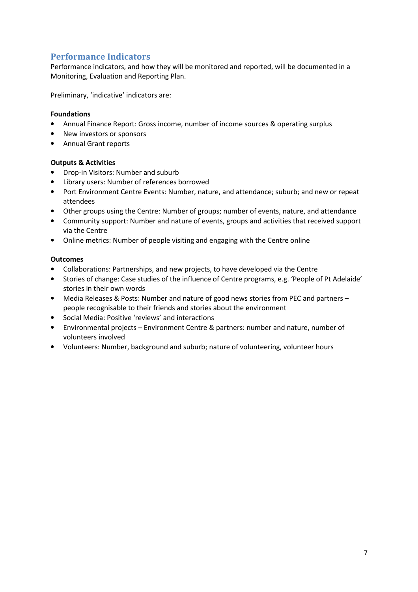## **Performance Indicators**

Performance indicators, and how they will be monitored and reported, will be documented in a Monitoring, Evaluation and Reporting Plan.

Preliminary, 'indicative' indicators are:

#### **Foundations**

- Annual Finance Report: Gross income, number of income sources & operating surplus
- New investors or sponsors
- Annual Grant reports

#### **Outputs & Activities**

- Drop-in Visitors: Number and suburb
- Library users: Number of references borrowed
- Port Environment Centre Events: Number, nature, and attendance; suburb; and new or repeat attendees
- Other groups using the Centre: Number of groups; number of events, nature, and attendance
- Community support: Number and nature of events, groups and activities that received support via the Centre
- Online metrics: Number of people visiting and engaging with the Centre online

#### **Outcomes**

- Collaborations: Partnerships, and new projects, to have developed via the Centre
- Stories of change: Case studies of the influence of Centre programs, e.g. 'People of Pt Adelaide' stories in their own words
- Media Releases & Posts: Number and nature of good news stories from PEC and partners people recognisable to their friends and stories about the environment
- Social Media: Positive 'reviews' and interactions
- Environmental projects Environment Centre & partners: number and nature, number of volunteers involved
- Volunteers: Number, background and suburb; nature of volunteering, volunteer hours